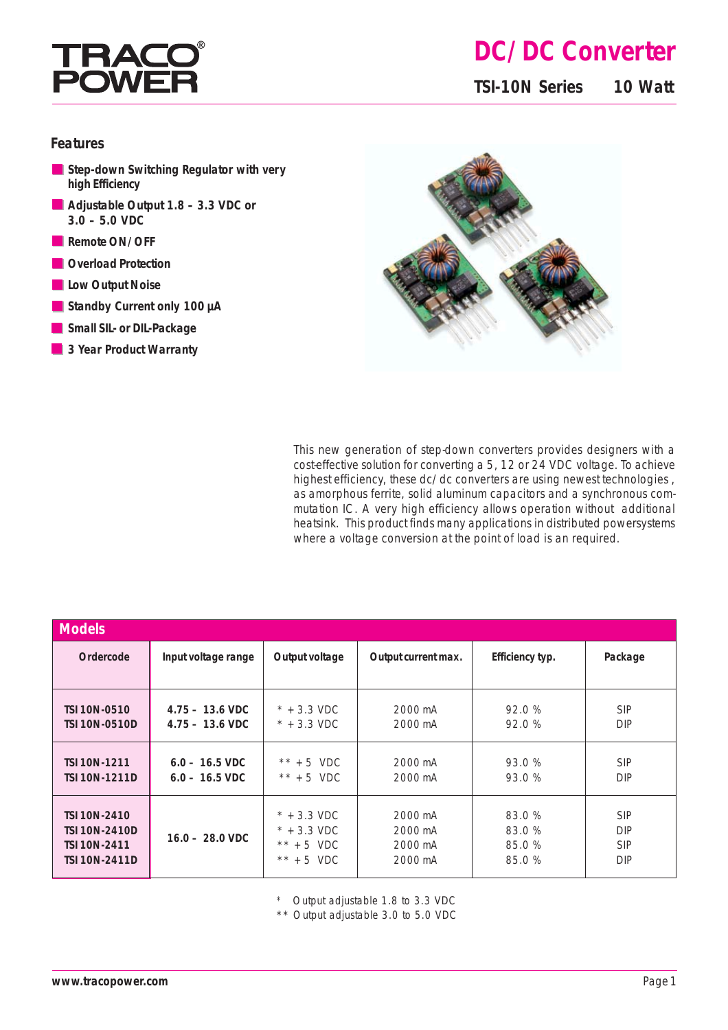

# **DC/DC Converter**

**TSI-10N Series 10 Watt**

#### **Features**

- **Step-down Switching Regulator with very high Efficiency**
- **Adjustable Output 1.8 3.3 VDC or 3.0 – 5.0 VDC**
- Remote ON/OFF
- **Overload Protection**
- **Low Output Noise**
- **Standby Current only 100 µA**
- **Small SIL- or DIL-Package**
- **3 Year Product Warranty**



This new generation of step-down converters provides designers with a cost-effective solution for converting a 5, 12 or 24 VDC voltage. To achieve highest efficiency, these dc/dc converters are using newest technologies, as amorphous ferrite, solid aluminum capacitors and a synchronous commutation IC. A very high efficiency allows operation without additional heatsink. This product finds many applications in distributed powersystems where a voltage conversion at the point of load is an required.

| <b>Models</b>        |                           |                       |                     |                 |            |
|----------------------|---------------------------|-----------------------|---------------------|-----------------|------------|
| Ordercode            | Input voltage range       | Output voltage        | Output current max. | Efficiency typ. | Package    |
| <b>TSI 10N-0510</b>  | $4.75 - 13.6 \text{ VDC}$ | $*$ + 3.3 VDC         | 2000 mA             | 92.0%           | <b>SIP</b> |
| <b>TSI 10N-0510D</b> | $4.75 - 13.6 \text{ VDC}$ | $*$ + 3.3 VDC         | 2000 mA             | 92.0%           | <b>DIP</b> |
| <b>TSI 10N-1211</b>  | $6.0 - 16.5 \text{ VDC}$  | $*** + 5$ VDC         | 2000 mA             | 93.0%           | <b>SIP</b> |
| <b>TSI 10N-1211D</b> | $6.0 - 16.5 \text{ VDC}$  | $*** + 5$ VDC         | 2000 mA             | 93.0 %          | <b>DIP</b> |
| <b>TSI 10N-2410</b>  | $16.0 - 28.0$ VDC         | $* + 3.3 \text{ VDC}$ | 2000 mA             | 83.0%           | <b>SIP</b> |
| <b>TSI 10N-2410D</b> |                           | $* + 3.3 \text{ VDC}$ | 2000 mA             | 83.0%           | <b>DIP</b> |
| <b>TSI 10N-2411</b>  |                           | $*** + 5$ VDC         | 2000 mA             | 85.0%           | <b>SIP</b> |
| <b>TSI 10N-2411D</b> |                           | $*** + 5$ VDC         | 2000 mA             | 85.0%           | <b>DIP</b> |

\* Output adjustable 1.8 to 3.3 VDC

\*\* Output adjustable 3.0 to 5.0 VDC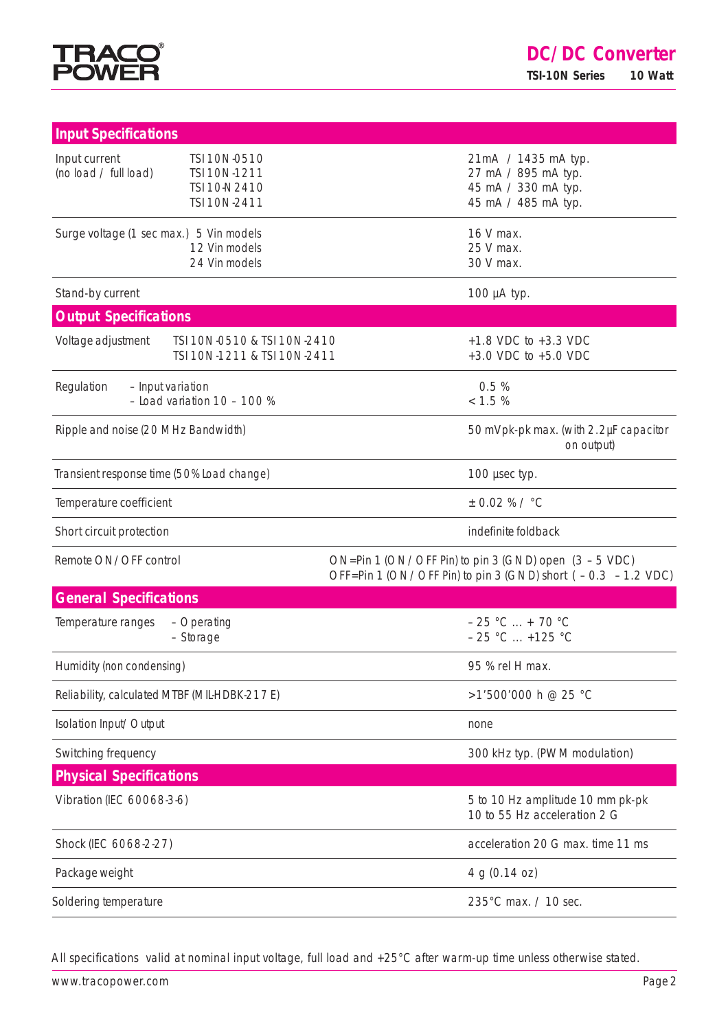

| <b>Input Specifications</b>                                                                            |                                                                                                                        |  |
|--------------------------------------------------------------------------------------------------------|------------------------------------------------------------------------------------------------------------------------|--|
| Input current<br>TSI 10N-0510<br>(no load / full load)<br>TSI 10N-1211<br>TSI 10-N2410<br>TSI 10N-2411 | 21mA / 1435 mA typ.<br>27 mA / 895 mA typ.<br>45 mA / 330 mA typ.<br>45 mA / 485 mA typ.                               |  |
| Surge voltage (1 sec max.) 5 Vin models<br>12 Vin models<br>24 Vin models                              | 16 V max.<br>25 V max.<br>30 V max.                                                                                    |  |
| Stand-by current                                                                                       | 100 µA typ.                                                                                                            |  |
| <b>Output Specifications</b>                                                                           |                                                                                                                        |  |
| Voltage adjustment<br>TSI 10N-0510 & TSI 10N-2410<br>TSI 10N-1211 & TSI 10N-2411                       | $+1.8$ VDC to $+3.3$ VDC<br>+3.0 VDC to +5.0 VDC                                                                       |  |
| Regulation<br>- Input variation<br>$-$ Load variation 10 $-$ 100 %                                     | 0.5%<br>< 1.5 %                                                                                                        |  |
| Ripple and noise (20 MHz Bandwidth)                                                                    | 50 mVpk-pk max. (with 2.2µF capacitor<br>on output)                                                                    |  |
| Transient response time (50% Load change)                                                              | 100 µsec typ.                                                                                                          |  |
| Temperature coefficient                                                                                | $± 0.02 %$ / °C                                                                                                        |  |
| Short circuit protection                                                                               | indefinite foldback                                                                                                    |  |
| Remote ON/OFF control                                                                                  | ON=Pin 1 (ON/OFF Pin) to pin 3 (GND) open $(3 - 5$ VDC)<br>OFF=Pin 1 (ON/OFF Pin) to pin 3 (GND) short (-0.3 -1.2 VDC) |  |
| <b>General Specifications</b>                                                                          |                                                                                                                        |  |
| Temperature ranges<br>- Operating<br>- Storage                                                         | $-25 °C  + 70 °C$<br>$-25$ °C  +125 °C                                                                                 |  |
| Humidity (non condensing)                                                                              | 95 % rel H max.                                                                                                        |  |
| Reliability, calculated MTBF (MIL-HDBK-217E)                                                           | >1'500'000 h @ 25 °C                                                                                                   |  |
| Isolation Input/Output                                                                                 | none                                                                                                                   |  |
| Switching frequency                                                                                    | 300 kHz typ. (PWM modulation)                                                                                          |  |
| <b>Physical Specifications</b>                                                                         |                                                                                                                        |  |
| Vibration (IEC 60068-3-6)                                                                              | 5 to 10 Hz amplitude 10 mm pk-pk<br>10 to 55 Hz acceleration 2 G                                                       |  |
| Shock (IEC 6068-2-27)                                                                                  | acceleration 20 G max. time 11 ms                                                                                      |  |
| Package weight                                                                                         | 4 g (0.14 oz)                                                                                                          |  |
| Soldering temperature                                                                                  | 235°C max. / 10 sec.                                                                                                   |  |

All specifications valid at nominal input voltage, full load and +25°C after warm-up time unless otherwise stated.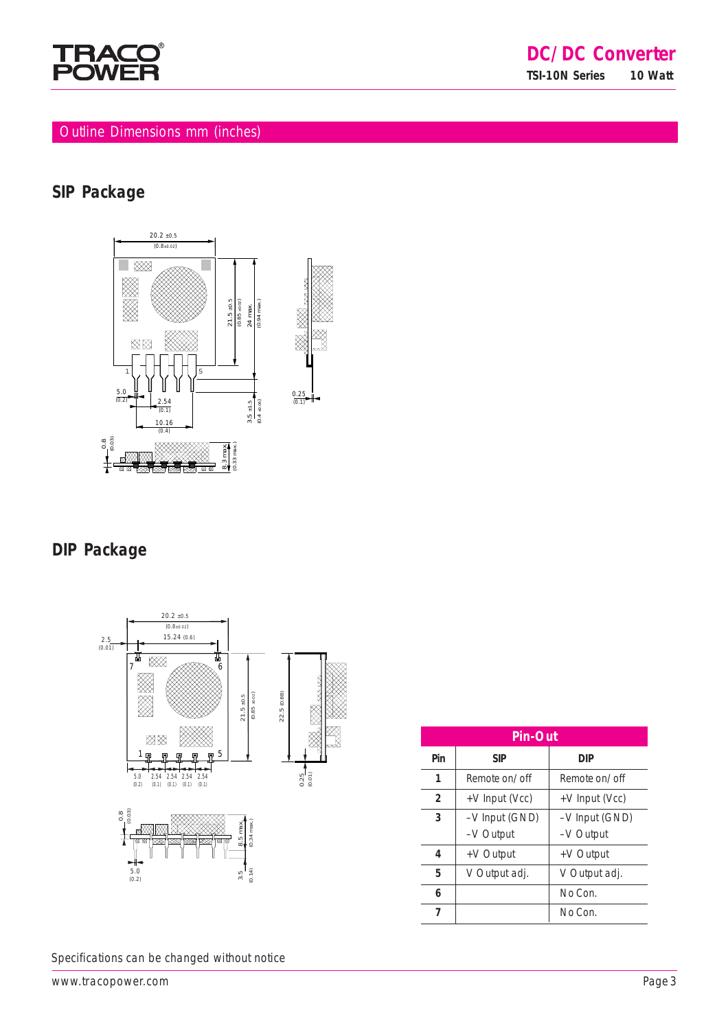

## Outline Dimensions mm (inches)

### **SIP Package**



### **DIP Package**



| <b>Pin-Out</b> |                                  |                |  |  |  |
|----------------|----------------------------------|----------------|--|--|--|
| Pin            | <b>SIP</b>                       | <b>DIP</b>     |  |  |  |
| 1              | Remote on/off                    | Remote on/off  |  |  |  |
| $\overline{2}$ | +V Input (Vcc)                   | +V Input (Vcc) |  |  |  |
| 3              | -V Input (GND)<br>-V Input (GND) |                |  |  |  |
|                | -V Output                        | -V Output      |  |  |  |
| 4              | +V Output                        | +V Output      |  |  |  |
| 5              | V Output adj.<br>V Output adj.   |                |  |  |  |
| 6              |                                  | No Con.        |  |  |  |
| 7              |                                  | No Con.        |  |  |  |

Specifications can be changed without notice